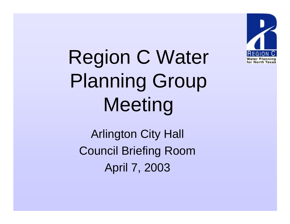

Region C Water Planning Group Meeting

Arlington City Hall Council Briefing Room April 7, 2003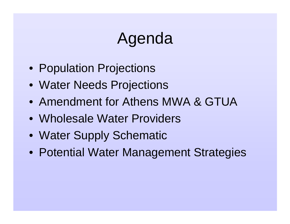# Agenda

- Population Projections
- Water Needs Projections
- Amendment for Athens MWA & GTUA
- Wholesale Water Providers
- Water Supply Schematic
- Potential Water Management Strategies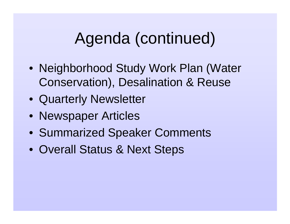# Agenda (continued)

- Neighborhood Study Work Plan (Water Conservation), Desalination & Reuse
- Quarterly Newsletter
- Newspaper Articles
- Summarized Speaker Comments
- Overall Status & Next Steps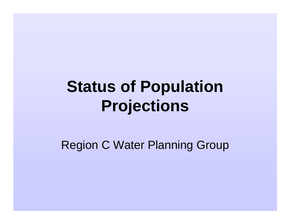# **Status of Population Projections**

Region C Water Planning Group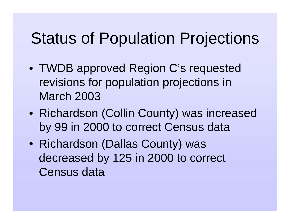# Status of Population Projections

- TWDB approved Region C's requested revisions for population projections in March 2003
- Richardson (Collin County) was increased by 99 in 2000 to correct Census data
- Richardson (Dallas County) was decreased by 125 in 2000 to correct Census data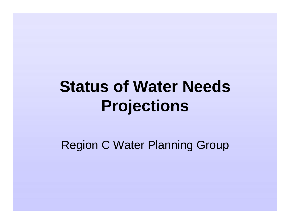# **Status of Water Needs Projections**

Region C Water Planning Group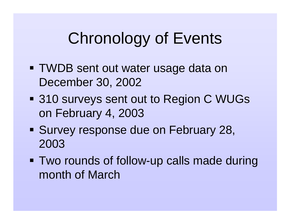# Chronology of Events

- TWDB sent out water usage data on December 30, 2002
- **310 surveys sent out to Region C WUGs** on February 4, 2003
- **Survey response due on February 28,** 2003
- Two rounds of follow-up calls made during month of March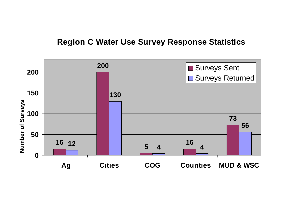### **Region C Water Use Survey Response Statistics**

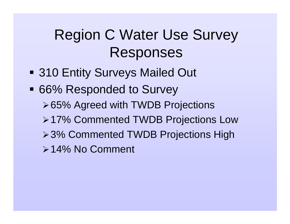## Region C Water Use Survey Responses

- **310 Entity Surveys Mailed Out**
- 66% Responded to Survey ≻65% Agreed with TWDB Projections ≻17% Commented TWDB Projections Low ≻3% Commented TWDB Projections High -14% No Comment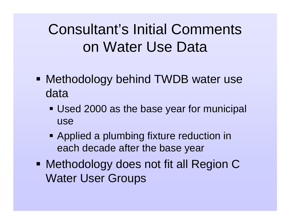## Consultant's Initial Comments on Water Use Data

- Methodology behind TWDB water use data
	- Used 2000 as the base year for municipal use
	- **Applied a plumbing fixture reduction in** each decade after the base year
- Methodology does not fit all Region C Water User Groups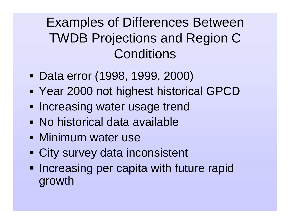## Examples of Differences Between TWDB Projections and Region C **Conditions**

- Data error (1998, 1999, 2000)
- Ξ Year 2000 not highest historical GPCD
- **- Increasing water usage trend**
- No historical data available
- **Minimum water use**
- **City survey data inconsistent**
- **Increasing per capita with future rapid** growth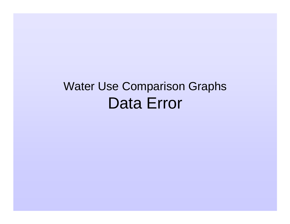## Water Use Comparison Graphs Data Error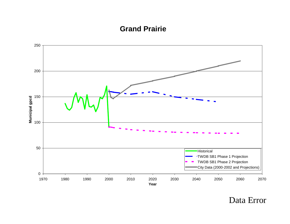#### **Grand Prairie**

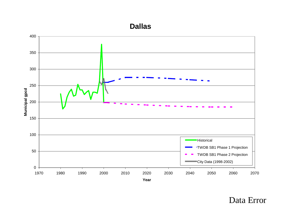#### **Dallas**

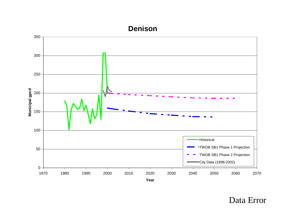#### **Denison**

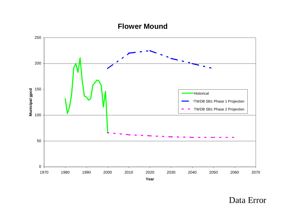#### **Flower Mound**

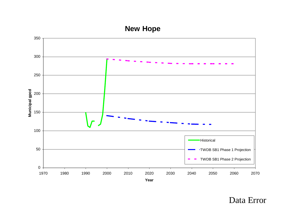### **New Hope**

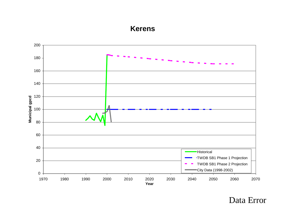#### **Kerens**

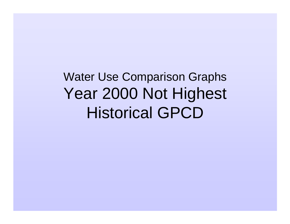Water Use Comparison Graphs Year 2000 Not Highest Historical GPCD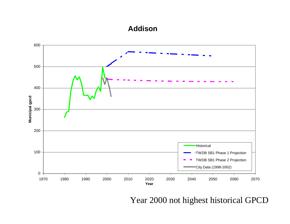#### **Addison**

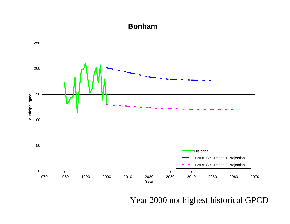#### **Bonham**

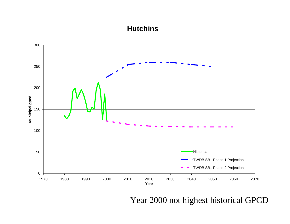#### **Hutchins**

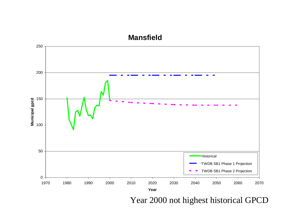#### **Mansfield**

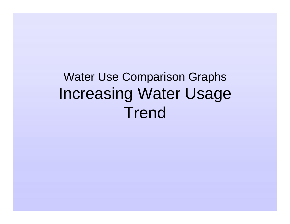## Water Use Comparison Graphs Increasing Water Usage **Trend**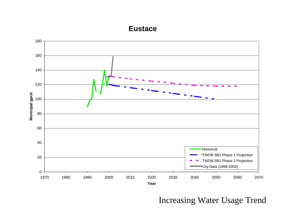#### **Eustace**

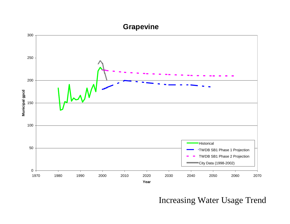### **Grapevine**

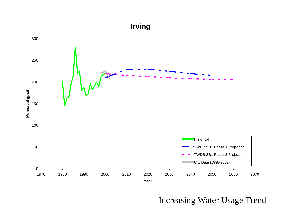### **Irving**

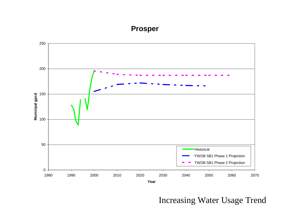### **Prosper**

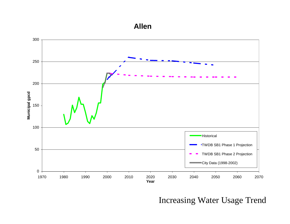#### **Allen**

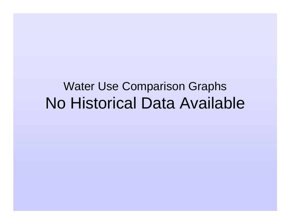## Water Use Comparison Graphs No Historical Data Available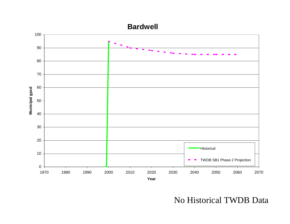

No Historical TWDB Data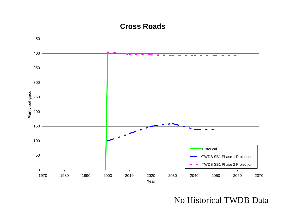#### **Cross Roads**



No Historical TWDB Data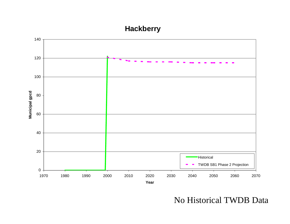### **Hackberry**



No Historical TWDB Data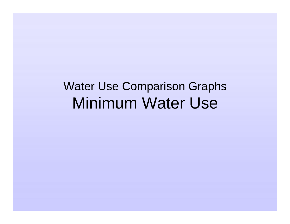## Water Use Comparison Graphs Minimum Water Use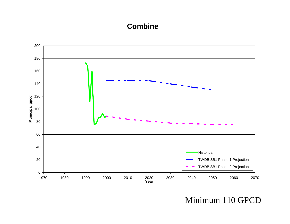#### **Combine**



Minimum 110 GPCD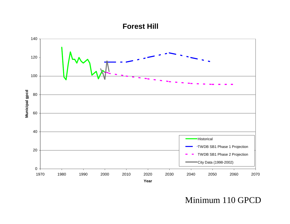#### **Forest Hill**



Minimum 110 GPCD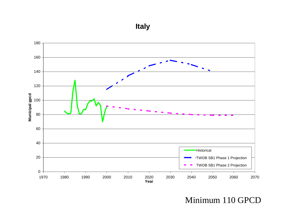**Italy**



Minimum 110 GPCD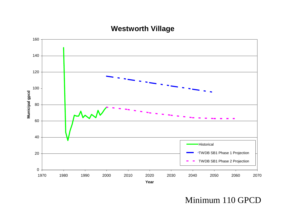

#### **Westworth Village**

#### Minimum 110 GPCD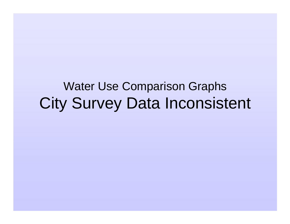### Water Use Comparison Graphs City Survey Data Inconsistent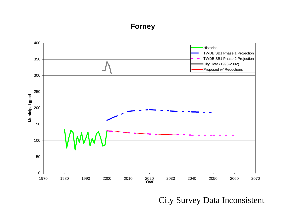#### **Forney**



City Survey Data Inconsistent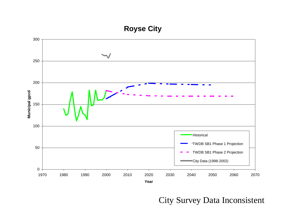#### **Royse City**



#### City Survey Data Inconsistent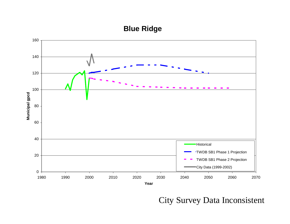#### **Blue Ridge**



#### City Survey Data Inconsistent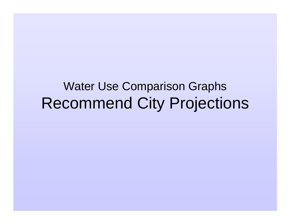### Water Use Comparison Graphs Recommend City Projections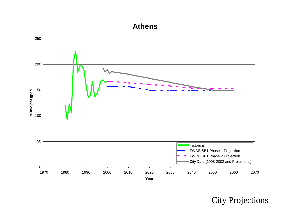#### **Athens**



City Projections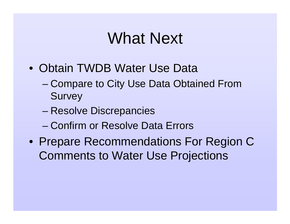## What Next

- Obtain TWDB Water Use Data
	- – Compare to City Use Data Obtained From **Survey**
	- –Resolve Discrepancies
	- Confirm or Resolve Data Errors
- Prepare Recommendations For Region C Comments to Water Use Projections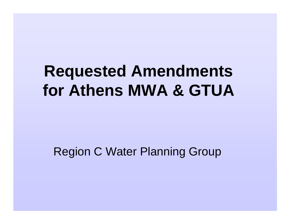## **Requested Amendments for Athens MWA & GTUA**

### Region C Water Planning Group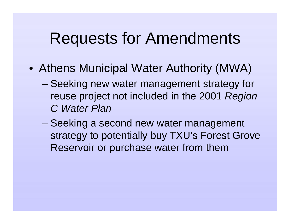## Requests for Amendments

- Athens Municipal Water Authority (MWA)
	- – Seeking new water management strategy for reuse project not included in the 2001 Region C Water Plan
	- Seeking a second new water management strategy to potentially buy TXU's Forest Grove Reservoir or purchase water from them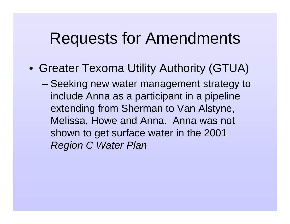### Requests for Amendments

- Greater Texoma Utility Authority (GTUA)
	- – Seeking new water management strategy to include Anna as a participant in a pipeline extending from Sherman to Van Alstyne, Melissa, Howe and Anna. Anna was not shown to get surface water in the 2001 Region C Water Plan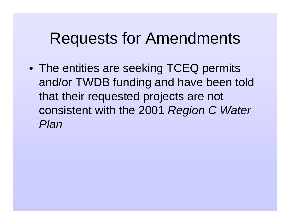## Requests for Amendments

• The entities are seeking TCEQ permits and/or TWDB funding and have been told that their requested projects are not consistent with the 2001 Region C Water Plan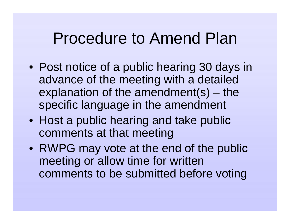### Procedure to Amend Plan

- Post notice of a public hearing 30 days in advance of the meeting with a detailed explanation of the amendment(s) – the specific language in the amendment
- Host a public hearing and take public comments at that meeting
- RWPG may vote at the end of the public meeting or allow time for written comments to be submitted before voting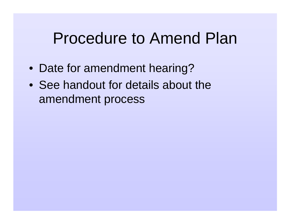## Procedure to Amend Plan

- Date for amendment hearing?
- See handout for details about the amendment process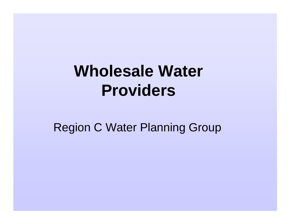## **Wholesale Water Providers**

Region C Water Planning Group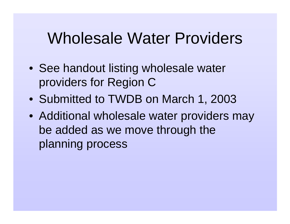## Wholesale Water Providers

- See handout listing wholesale water providers for Region C
- Submitted to TWDB on March 1, 2003
- Additional wholesale water providers may be added as we move through the planning process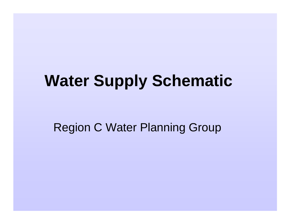# **Water Supply Schematic**

Region C Water Planning Group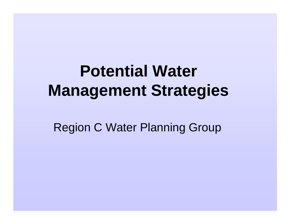## **Potential Water Management Strategies**

Region C Water Planning Group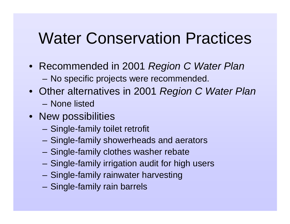## Water Conservation Practices

- Recommended in 2001 Region C Water Plan
	- –No specific projects were recommended.
- Other alternatives in 2001 *Region C Water Plan* 
	- None listed
- New possibilities
	- –Single-family toilet retrofit
	- –Single-family showerheads and aerators
	- Single-family clothes washer rebate
	- Single-family irrigation audit for high users
	- Single-family rainwater harvesting
	- Single-family rain barrels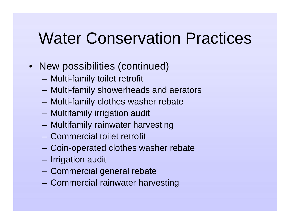## Water Conservation Practices

- New possibilities (continued)
	- –Multi-family toilet retrofit
	- –Multi-family showerheads and aerators
	- Multi-family clothes washer rebate
	- Multifamily irrigation audit
	- Multifamily rainwater harvesting
	- Commercial toilet retrofit
	- –Coin-operated clothes washer rebate
	- –Irrigation audit
	- Commercial general rebate
	- Commercial rainwater harvesting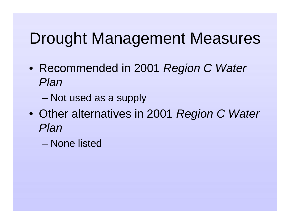## Drought Management Measures

- Recommended in 2001 *Region C Water* Plan
	- –Not used as a supply
- Other alternatives in 2001 Region C Water Plan
	- None listed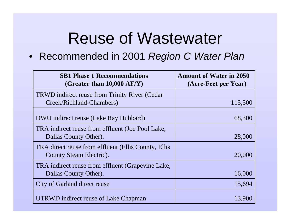## Reuse of Wastewater

• Recommended in 2001 Region C Water Plan

| <b>SB1 Phase 1 Recommendations</b><br>(Greater than $10,000 \text{ AF/Y}$ ) | <b>Amount of Water in 2050</b><br>(Acre-Feet per Year) |
|-----------------------------------------------------------------------------|--------------------------------------------------------|
| <b>TRWD</b> indirect reuse from Trinity River (Cedar                        |                                                        |
| Creek/Richland-Chambers)                                                    | 115,500                                                |
| DWU indirect reuse (Lake Ray Hubbard)                                       | 68,300                                                 |
| TRA indirect reuse from effluent (Joe Pool Lake,                            |                                                        |
| Dallas County Other).                                                       | 28,000                                                 |
| TRA direct reuse from effluent (Ellis County, Ellis                         |                                                        |
| County Steam Electric).                                                     | 20,000                                                 |
| TRA indirect reuse from effluent (Grapevine Lake,                           |                                                        |
| Dallas County Other).                                                       | 16,000                                                 |
| City of Garland direct reuse                                                | 15,694                                                 |
| UTRWD indirect reuse of Lake Chapman                                        | 13,900                                                 |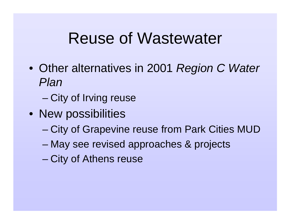## Reuse of Wastewater

- Other alternatives in 2001 Region C Water Plan
	- –City of Irving reuse
- New possibilities
	- City of Grapevine reuse from Park Cities MUD
	- May see revised approaches & projects
	- –City of Athens reuse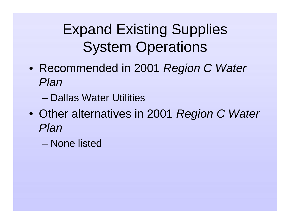## Expand Existing Supplies System Operations

- Recommended in 2001 *Region C Water* Plan
	- Dallas Water Utilities
- Other alternatives in 2001 Region C Water Plan
	- None listed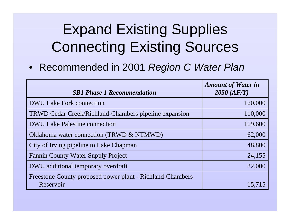• Recommended in 2001 Region C Water Plan

| <b>SB1 Phase 1 Recommendation</b>                         | <b>Amount of Water in</b><br>$2050$ $(AF/Y)$ |
|-----------------------------------------------------------|----------------------------------------------|
| <b>DWU Lake Fork connection</b>                           | 120,000                                      |
| TRWD Cedar Creek/Richland-Chambers pipeline expansion     | 110,000                                      |
| <b>DWU Lake Palestine connection</b>                      | 109,600                                      |
| Oklahoma water connection (TRWD & NTMWD)                  | 62,000                                       |
| City of Irving pipeline to Lake Chapman                   | 48,800                                       |
| <b>Fannin County Water Supply Project</b>                 | 24,155                                       |
| DWU additional temporary overdraft                        | 22,000                                       |
| Freestone County proposed power plant - Richland-Chambers |                                              |
| Reservoir                                                 | 15,715                                       |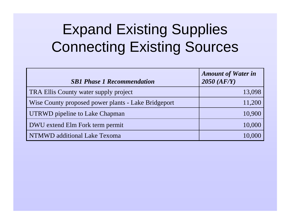| <b>SB1 Phase 1 Recommendation</b>                   | <b>Amount of Water in</b><br>$2050$ $(AF/Y)$ |
|-----------------------------------------------------|----------------------------------------------|
| TRA Ellis County water supply project               | 13,098                                       |
| Wise County proposed power plants - Lake Bridgeport | 11,200                                       |
| UTRWD pipeline to Lake Chapman                      | 10,900                                       |
| DWU extend Elm Fork term permit                     | 10,000                                       |
| NTMWD additional Lake Texoma                        | 10,000                                       |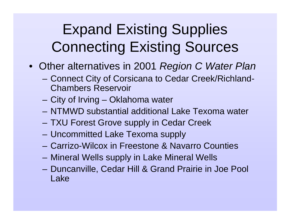- Other alternatives in 2001 *Region C Water Plan* 
	- – Connect City of Corsicana to Cedar Creek/Richland-Chambers Reservoir
	- City of Irving Oklahoma water
	- NTMWD substantial additional Lake Texoma water
	- –TXU Forest Grove supply in Cedar Creek
	- –Uncommitted Lake Texoma supply
	- Carrizo-Wilcox in Freestone & Navarro Counties
	- Mineral Wells supply in Lake Mineral Wells
	- Duncanville, Cedar Hill & Grand Prairie in Joe Pool Lake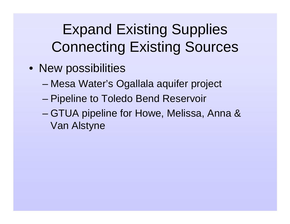- New possibilities
	- –Mesa Water's Ogallala aquifer project
	- –Pipeline to Toledo Bend Reservoir
	- – GTUA pipeline for Howe, Melissa, Anna & Van Alstyne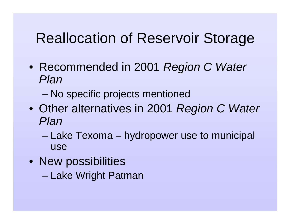### Reallocation of Reservoir Storage

- Recommended in 2001 Region C Water Plan
	- –No specific projects mentioned
- Other alternatives in 2001 Region C Water Plan
	- – Lake Texoma – hydropower use to municipal use
- New possibilities
	- Lake Wright Patman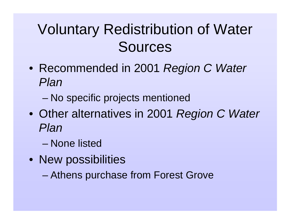## Voluntary Redistribution of Water Sources

- Recommended in 2001 *Region C Water* Plan
	- –No specific projects mentioned
- Other alternatives in 2001 Region C Water Plan
	- None listed
- New possibilities
	- –Athens purchase from Forest Grove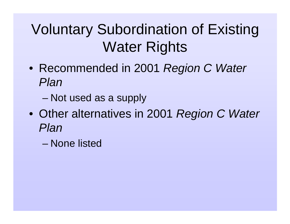## Voluntary Subordination of Existing Water Rights

- Recommended in 2001 *Region C Water* Plan
	- –Not used as a supply
- Other alternatives in 2001 Region C Water Plan
	- None listed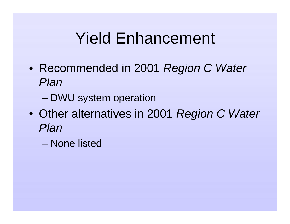## Yield Enhancement

- Recommended in 2001 *Region C Water* Plan
	- –DWU system operation
- Other alternatives in 2001 Region C Water Plan
	- None listed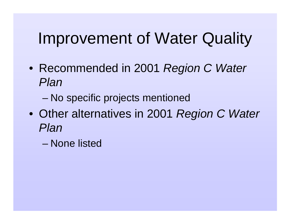## Improvement of Water Quality

- Recommended in 2001 *Region C Water* Plan
	- –No specific projects mentioned
- Other alternatives in 2001 Region C Water Plan
	- None listed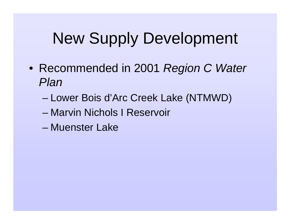## New Supply Development

- Recommended in 2001 *Region C Water* Plan
	- –Lower Bois d'Arc Creek Lake (NTMWD)
	- Marvin Nichols I Reservoir
	- Muenster Lake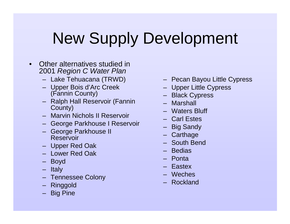# New Supply Development

- • Other alternatives studied in 2001 Region C Water Plan
	- Lake Tehuacana (TRWD)
	- Upper Bois d'Arc Creek (Fannin County)
	- Ralph Hall Reservoir (Fannin County)
	- Marvin Nichols II Reservoir
	- George Parkhouse I Reservoir
	- George Parkhouse II Reservoir
	- Upper Red Oak
	- Lower Red Oak
	- Boyd
	- Italy
	- Tennessee Colony
	- Ringgold
	- Big Pine
- Pecan Bayou Little Cypress
- Upper Little Cypress
- Black Cypress
- Marshall
- Waters Bluff
- Carl Estes
- Big Sandy
- Carthage
- South Bend
- Bedias
- Ponta
- Eastex
- Weches
- Rockland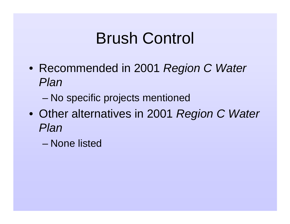# Brush Control

- Recommended in 2001 *Region C Water* Plan
	- –No specific projects mentioned
- Other alternatives in 2001 Region C Water Plan
	- None listed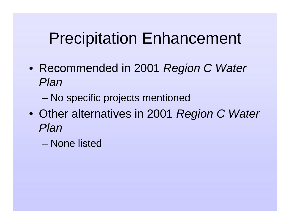## Precipitation Enhancement

- Recommended in 2001 *Region C Water* Plan
	- –No specific projects mentioned
- Other alternatives in 2001 Region C Water Plan
	- None listed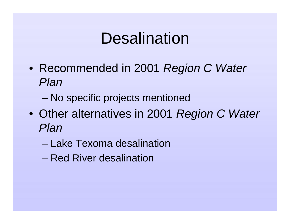## **Desalination**

- Recommended in 2001 *Region C Water* Plan
	- –No specific projects mentioned
- Other alternatives in 2001 Region C Water Plan
	- Lake Texoma desalination
	- Red River desalination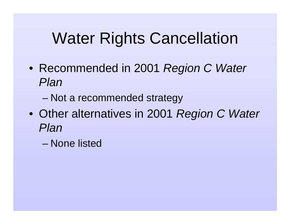## Water Rights Cancellation

- Recommended in 2001 *Region C Water* Plan
	- –Not a recommended strategy
- Other alternatives in 2001 Region C Water Plan
	- None listed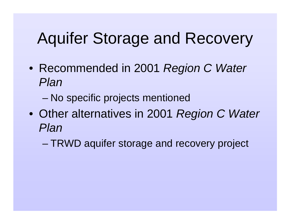# Aquifer Storage and Recovery

- Recommended in 2001 *Region C Water* Plan
	- –No specific projects mentioned
- Other alternatives in 2001 Region C Water Plan
	- –TRWD aquifer storage and recovery project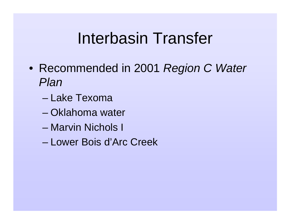## Interbasin Transfer

- Recommended in 2001 *Region C Water* Plan
	- Lake Texoma
	- Oklahoma water
	- Marvin Nichols I
	- Lower Bois d'Arc Creek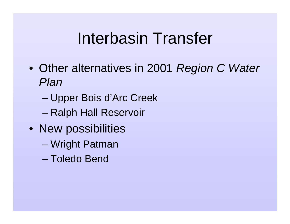# Interbasin Transfer

- Other alternatives in 2001 Region C Water Plan
	- –Upper Bois d'Arc Creek
	- –Ralph Hall Reservoir
- New possibilities
	- Wright Patman
	- Toledo Bend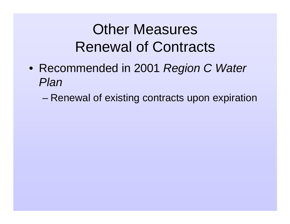#### Other Measures Renewal of Contracts

- Recommended in 2001 *Region C Water* Plan
	- –Renewal of existing contracts upon expiration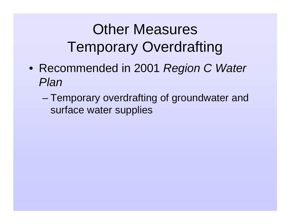## Other Measures Temporary Overdrafting

- Recommended in 2001 *Region C Water* Plan
	- – Temporary overdrafting of groundwater and surface water supplies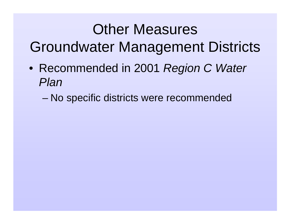#### Other Measures Groundwater Management Districts

- Recommended in 2001 *Region C Water* Plan
	- –No specific districts were recommended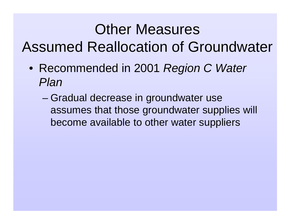#### Other Measures Assumed Reallocation of Groundwater

- Recommended in 2001 *Region C Water* Plan
	- – Gradual decrease in groundwater use assumes that those groundwater supplies will become available to other water suppliers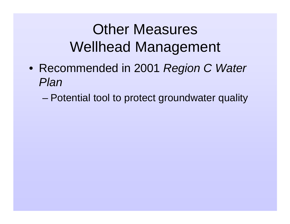#### Other Measures Wellhead Management

- Recommended in 2001 *Region C Water* Plan
	- –Potential tool to protect groundwater quality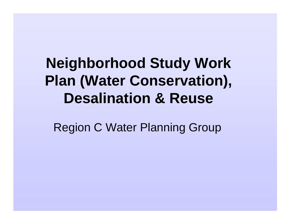#### **Neighborhood Study Work Plan (Water Conservation), Desalination & Reuse**

Region C Water Planning Group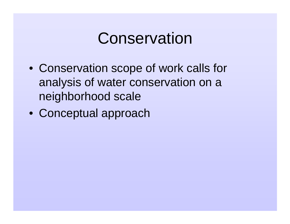#### Conservation

- Conservation scope of work calls for analysis of water conservation on a neighborhood scale
- Conceptual approach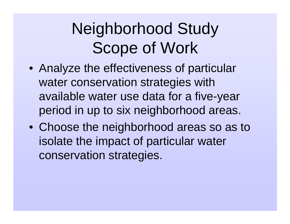# Neighborhood Study Scope of Work

- Analyze the effectiveness of particular water conservation strategies with available water use data for a five-year period in up to six neighborhood areas.
- Choose the neighborhood areas so as to isolate the impact of particular water conservation strategies.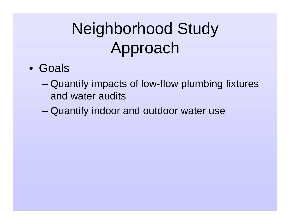# Neighborhood Study Approach

- Goals
	- – Quantify impacts of low-flow plumbing fixtures and water audits
	- –Quantify indoor and outdoor water use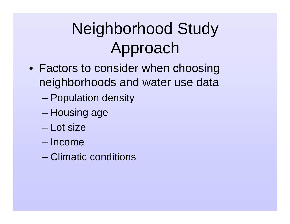# Neighborhood Study Approach

- Factors to consider when choosing neighborhoods and water use data
	- –Population density
	- –Housing age
	- Lot size
	- Income
	- Climatic conditions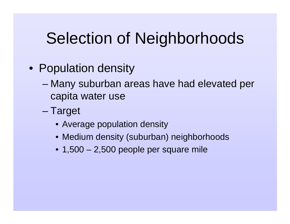- Population density
	- – Many suburban areas have had elevated per capita water use
	- – Target
		- Average population density
		- Medium density (suburban) neighborhoods
		- 1,500 2,500 people per square mile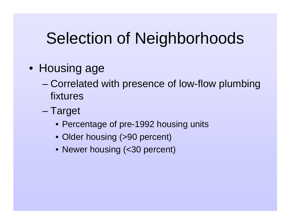- Housing age
	- – Correlated with presence of low-flow plumbing fixtures
	- – Target
		- Percentage of pre-1992 housing units
		- Older housing (>90 percent)
		- Newer housing (<30 percent)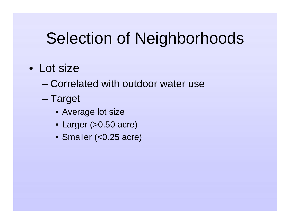- Lot size
	- Correlated with outdoor water use
	- – Target
		- Average lot size
		- Larger (>0.50 acre)
		- Smaller (<0.25 acre)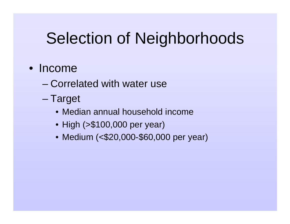#### • Income

- Correlated with water use
- – Target
	- Median annual household income
	- High (>\$100,000 per year)
	- Medium (<\$20,000-\$60,000 per year)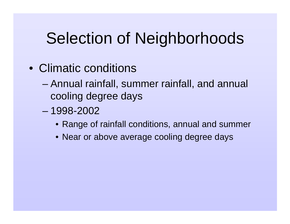- Climatic conditions
	- – Annual rainfall, summer rainfall, and annual cooling degree days
	- 1998-2002
		- Range of rainfall conditions, annual and summer
		- Near or above average cooling degree days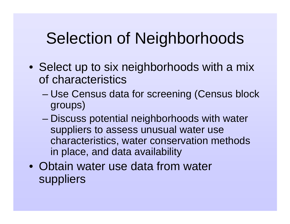- Select up to six neighborhoods with a mix of characteristics
	- – Use Census data for screening (Census block groups)
	- – Discuss potential neighborhoods with water suppliers to assess unusual water use characteristics, water conservation methods in place, and data availability
- Obtain water use data from water suppliers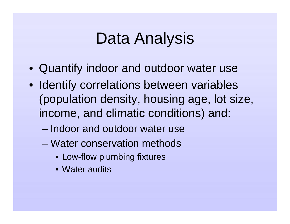## Data Analysis

- Quantify indoor and outdoor water use
- Identify correlations between variables (population density, housing age, lot size, income, and climatic conditions) and:
	- Indoor and outdoor water use
	- Water conservation methods
		- Low-flow plumbing fixtures
		- Water audits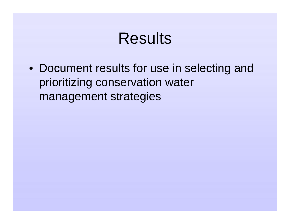#### Results

• Document results for use in selecting and prioritizing conservation water management strategies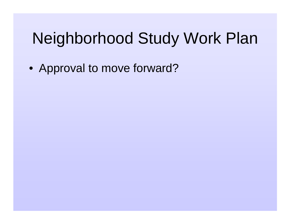# Neighborhood Study Work Plan

• Approval to move forward?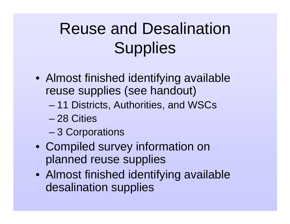# Reuse and Desalination **Supplies**

- Almost finished identifying available reuse supplies (see handout)
	- –11 Districts, Authorities, and WSCs
	- 28 Cities
	- –3 Corporations
- Compiled survey information on planned reuse supplies
- Almost finished identifying available desalination supplies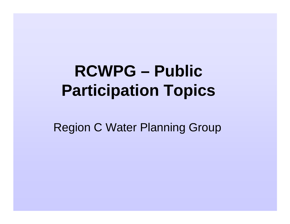# **RCWPG – Public Participation Topics**

Region C Water Planning Group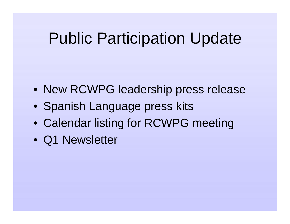## Public Participation Update

- New RCWPG leadership press release
- Spanish Language press kits
- Calendar listing for RCWPG meeting
- Q1 Newsletter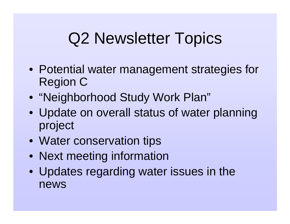# Q2 Newsletter Topics

- Potential water management strategies for Region C
- "Neighborhood Study Work Plan"
- Update on overall status of water planning project
- Water conservation tips
- Next meeting information
- Updates regarding water issues in the news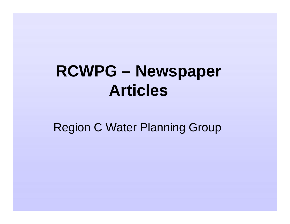# **RCWPG – Newspaper Articles**

Region C Water Planning Group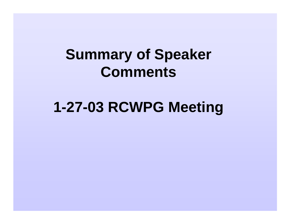#### **Summary of Speaker Comments**

#### **1-27-03 RCWPG Meeting**